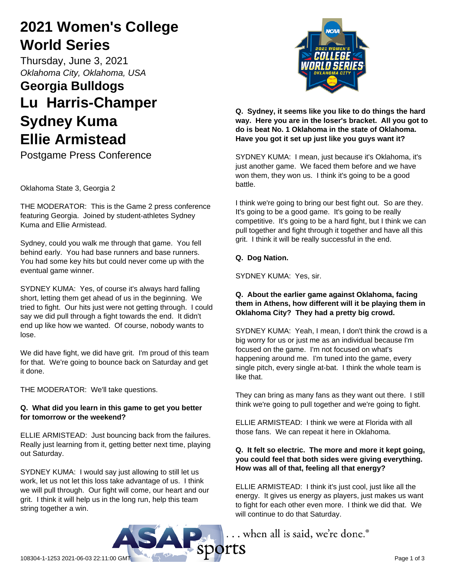# **2021 Women's College World Series**

Thursday, June 3, 2021 *Oklahoma City, Oklahoma, USA*

# **Georgia Bulldogs Lu Harris-Champer Sydney Kuma Ellie Armistead**

Postgame Press Conference

Oklahoma State 3, Georgia 2

THE MODERATOR: This is the Game 2 press conference featuring Georgia. Joined by student-athletes Sydney Kuma and Ellie Armistead.

Sydney, could you walk me through that game. You fell behind early. You had base runners and base runners. You had some key hits but could never come up with the eventual game winner.

SYDNEY KUMA: Yes, of course it's always hard falling short, letting them get ahead of us in the beginning. We tried to fight. Our hits just were not getting through. I could say we did pull through a fight towards the end. It didn't end up like how we wanted. Of course, nobody wants to lose.

We did have fight, we did have grit. I'm proud of this team for that. We're going to bounce back on Saturday and get it done.

THE MODERATOR: We'll take questions.

# **Q. What did you learn in this game to get you better for tomorrow or the weekend?**

ELLIE ARMISTEAD: Just bouncing back from the failures. Really just learning from it, getting better next time, playing out Saturday.

SYDNEY KUMA: I would say just allowing to still let us work, let us not let this loss take advantage of us. I think we will pull through. Our fight will come, our heart and our grit. I think it will help us in the long run, help this team string together a win.



**Q. Sydney, it seems like you like to do things the hard way. Here you are in the loser's bracket. All you got to do is beat No. 1 Oklahoma in the state of Oklahoma. Have you got it set up just like you guys want it?**

SYDNEY KUMA: I mean, just because it's Oklahoma, it's just another game. We faced them before and we have won them, they won us. I think it's going to be a good battle.

I think we're going to bring our best fight out. So are they. It's going to be a good game. It's going to be really competitive. It's going to be a hard fight, but I think we can pull together and fight through it together and have all this grit. I think it will be really successful in the end.

# **Q. Dog Nation.**

SYDNEY KUMA: Yes, sir.

# **Q. About the earlier game against Oklahoma, facing them in Athens, how different will it be playing them in Oklahoma City? They had a pretty big crowd.**

SYDNEY KUMA: Yeah, I mean, I don't think the crowd is a big worry for us or just me as an individual because I'm focused on the game. I'm not focused on what's happening around me. I'm tuned into the game, every single pitch, every single at-bat. I think the whole team is like that.

They can bring as many fans as they want out there. I still think we're going to pull together and we're going to fight.

ELLIE ARMISTEAD: I think we were at Florida with all those fans. We can repeat it here in Oklahoma.

# **Q. It felt so electric. The more and more it kept going, you could feel that both sides were giving everything. How was all of that, feeling all that energy?**

ELLIE ARMISTEAD: I think it's just cool, just like all the energy. It gives us energy as players, just makes us want to fight for each other even more. I think we did that. We will continue to do that Saturday.

... when all is said, we're done.<sup>®</sup>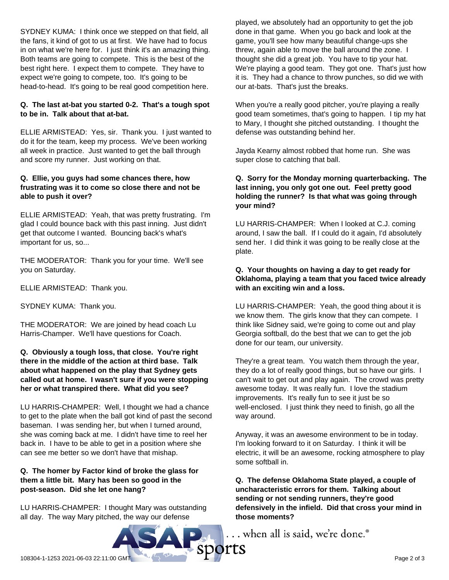SYDNEY KUMA: I think once we stepped on that field, all the fans, it kind of got to us at first. We have had to focus in on what we're here for. I just think it's an amazing thing. Both teams are going to compete. This is the best of the best right here. I expect them to compete. They have to expect we're going to compete, too. It's going to be head-to-head. It's going to be real good competition here.

# **Q. The last at-bat you started 0-2. That's a tough spot to be in. Talk about that at-bat.**

ELLIE ARMISTEAD: Yes, sir. Thank you. I just wanted to do it for the team, keep my process. We've been working all week in practice. Just wanted to get the ball through and score my runner. Just working on that.

#### **Q. Ellie, you guys had some chances there, how frustrating was it to come so close there and not be able to push it over?**

ELLIE ARMISTEAD: Yeah, that was pretty frustrating. I'm glad I could bounce back with this past inning. Just didn't get that outcome I wanted. Bouncing back's what's important for us, so...

THE MODERATOR: Thank you for your time. We'll see you on Saturday.

ELLIE ARMISTEAD: Thank you.

SYDNEY KUMA: Thank you.

THE MODERATOR: We are joined by head coach Lu Harris-Champer. We'll have questions for Coach.

#### **Q. Obviously a tough loss, that close. You're right there in the middle of the action at third base. Talk about what happened on the play that Sydney gets called out at home. I wasn't sure if you were stopping her or what transpired there. What did you see?**

LU HARRIS-CHAMPER: Well, I thought we had a chance to get to the plate when the ball got kind of past the second baseman. I was sending her, but when I turned around, she was coming back at me. I didn't have time to reel her back in. I have to be able to get in a position where she can see me better so we don't have that mishap.

# **Q. The homer by Factor kind of broke the glass for them a little bit. Mary has been so good in the post-season. Did she let one hang?**

LU HARRIS-CHAMPER: I thought Mary was outstanding all day. The way Mary pitched, the way our defense

played, we absolutely had an opportunity to get the job done in that game. When you go back and look at the game, you'll see how many beautiful change-ups she threw, again able to move the ball around the zone. I thought she did a great job. You have to tip your hat. We're playing a good team. They got one. That's just how it is. They had a chance to throw punches, so did we with our at-bats. That's just the breaks.

When you're a really good pitcher, you're playing a really good team sometimes, that's going to happen. I tip my hat to Mary, I thought she pitched outstanding. I thought the defense was outstanding behind her.

Jayda Kearny almost robbed that home run. She was super close to catching that ball.

### **Q. Sorry for the Monday morning quarterbacking. The last inning, you only got one out. Feel pretty good holding the runner? Is that what was going through your mind?**

LU HARRIS-CHAMPER: When I looked at C.J. coming around, I saw the ball. If I could do it again, I'd absolutely send her. I did think it was going to be really close at the plate.

# **Q. Your thoughts on having a day to get ready for Oklahoma, playing a team that you faced twice already with an exciting win and a loss.**

LU HARRIS-CHAMPER: Yeah, the good thing about it is we know them. The girls know that they can compete. I think like Sidney said, we're going to come out and play Georgia softball, do the best that we can to get the job done for our team, our university.

They're a great team. You watch them through the year, they do a lot of really good things, but so have our girls. I can't wait to get out and play again. The crowd was pretty awesome today. It was really fun. I love the stadium improvements. It's really fun to see it just be so well-enclosed. I just think they need to finish, go all the way around.

Anyway, it was an awesome environment to be in today. I'm looking forward to it on Saturday. I think it will be electric, it will be an awesome, rocking atmosphere to play some softball in.

**Q. The defense Oklahoma State played, a couple of uncharacteristic errors for them. Talking about sending or not sending runners, they're good defensively in the infield. Did that cross your mind in those moments?**

... when all is said, we're done.<sup>®</sup>